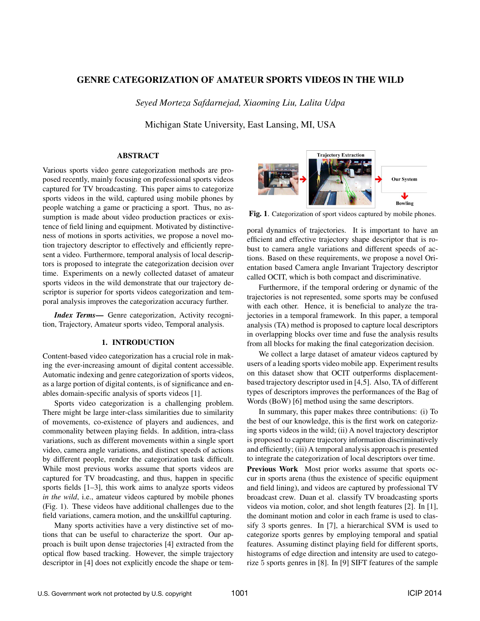# GENRE CATEGORIZATION OF AMATEUR SPORTS VIDEOS IN THE WILD

*Seyed Morteza Safdarnejad, Xiaoming Liu, Lalita Udpa*

Michigan State University, East Lansing, MI, USA

# ABSTRACT

Various sports video genre categorization methods are proposed recently, mainly focusing on professional sports videos captured for TV broadcasting. This paper aims to categorize sports videos in the wild, captured using mobile phones by people watching a game or practicing a sport. Thus, no assumption is made about video production practices or existence of field lining and equipment. Motivated by distinctiveness of motions in sports activities, we propose a novel motion trajectory descriptor to effectively and efficiently represent a video. Furthermore, temporal analysis of local descriptors is proposed to integrate the categorization decision over time. Experiments on a newly collected dataset of amateur sports videos in the wild demonstrate that our trajectory descriptor is superior for sports videos categorization and temporal analysis improves the categorization accuracy further.

*Index Terms*— Genre categorization, Activity recognition, Trajectory, Amateur sports video, Temporal analysis.

## 1. INTRODUCTION

Content-based video categorization has a crucial role in making the ever-increasing amount of digital content accessible. Automatic indexing and genre categorization of sports videos, as a large portion of digital contents, is of significance and enables domain-specific analysis of sports videos [1].

Sports video categorization is a challenging problem. There might be large inter-class similarities due to similarity of movements, co-existence of players and audiences, and commonality between playing fields. In addition, intra-class variations, such as different movements within a single sport video, camera angle variations, and distinct speeds of actions by different people, render the categorization task difficult. While most previous works assume that sports videos are captured for TV broadcasting, and thus, happen in specific sports fields [1–3], this work aims to analyze sports videos *in the wild*, *i.e.*, amateur videos captured by mobile phones (Fig. 1). These videos have additional challenges due to the field variations, camera motion, and the unskillful capturing.

Many sports activities have a very distinctive set of motions that can be useful to characterize the sport. Our approach is built upon dense trajectories [4] extracted from the optical flow based tracking. However, the simple trajectory descriptor in [4] does not explicitly encode the shape or tem-



Fig. 1. Categorization of sport videos captured by mobile phones.

poral dynamics of trajectories. It is important to have an efficient and effective trajectory shape descriptor that is robust to camera angle variations and different speeds of actions. Based on these requirements, we propose a novel Orientation based Camera angle Invariant Trajectory descriptor called OCIT, which is both compact and discriminative.

Furthermore, if the temporal ordering or dynamic of the trajectories is not represented, some sports may be confused with each other. Hence, it is beneficial to analyze the trajectories in a temporal framework. In this paper, a temporal analysis (TA) method is proposed to capture local descriptors in overlapping blocks over time and fuse the analysis results from all blocks for making the final categorization decision.

We collect a large dataset of amateur videos captured by users of a leading sports video mobile app. Experiment results on this dataset show that OCIT outperforms displacementbased trajectory descriptor used in [4,5]. Also, TA of different types of descriptors improves the performances of the Bag of Words (BoW) [6] method using the same descriptors.

In summary, this paper makes three contributions: (i) To the best of our knowledge, this is the first work on categorizing sports videos in the wild; (ii) A novel trajectory descriptor is proposed to capture trajectory information discriminatively and efficiently; (iii) A temporal analysis approach is presented to integrate the categorization of local descriptors over time.

Previous Work Most prior works assume that sports occur in sports arena (thus the existence of specific equipment and field lining), and videos are captured by professional TV broadcast crew. Duan et al. classify TV broadcasting sports videos via motion, color, and shot length features [2]. In [1], the dominant motion and color in each frame is used to classify 3 sports genres. In [7], a hierarchical SVM is used to categorize sports genres by employing temporal and spatial features. Assuming distinct playing field for different sports, histograms of edge direction and intensity are used to categorize 5 sports genres in [8]. In [9] SIFT features of the sample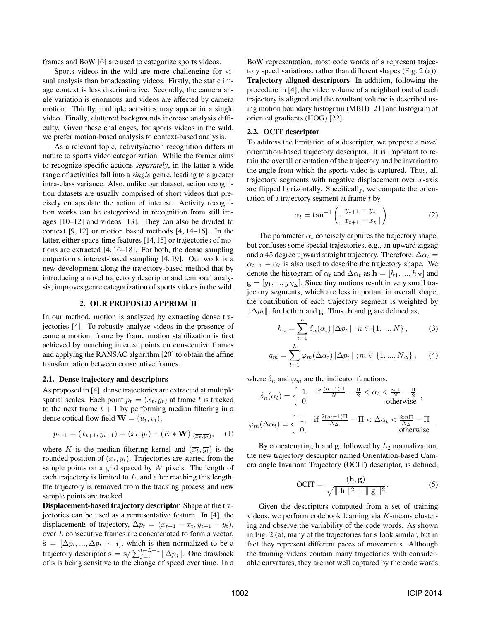frames and BoW [6] are used to categorize sports videos.

Sports videos in the wild are more challenging for visual analysis than broadcasting videos. Firstly, the static image context is less discriminative. Secondly, the camera angle variation is enormous and videos are affected by camera motion. Thirdly, multiple activities may appear in a single video. Finally, cluttered backgrounds increase analysis difficulty. Given these challenges, for sports videos in the wild, we prefer motion-based analysis to context-based analysis.

As a relevant topic, activity/action recognition differs in nature to sports video categorization. While the former aims to recognize specific actions *separately*, in the latter a wide range of activities fall into a *single* genre, leading to a greater intra-class variance. Also, unlike our dataset, action recognition datasets are usually comprised of short videos that precisely encapsulate the action of interest. Activity recognition works can be categorized in recognition from still images [10–12] and videos [13]. They can also be divided to context [9, 12] or motion based methods [4, 14–16]. In the latter, either space-time features [14,15] or trajectories of motions are extracted [4, 16–18]. For both, the dense sampling outperforms interest-based sampling [4, 19]. Our work is a new development along the trajectory-based method that by introducing a novel trajectory descriptor and temporal analysis, improves genre categorization of sports videos in the wild.

#### 2. OUR PROPOSED APPROACH

In our method, motion is analyzed by extracting dense trajectories [4]. To robustly analyze videos in the presence of camera motion, frame by frame motion stabilization is first achieved by matching interest points on consecutive frames and applying the RANSAC algorithm [20] to obtain the affine transformation between consecutive frames.

### 2.1. Dense trajectory and descriptors

As proposed in [4], dense trajectories are extracted at multiple spatial scales. Each point  $p_t = (x_t, y_t)$  at frame t is tracked to the next frame  $t + 1$  by performing median filtering in a dense optical flow field  $\mathbf{W} = (u_t, v_t)$ ,

$$
p_{t+1} = (x_{t+1}, y_{t+1}) = (x_t, y_t) + (K * \mathbf{W})|_{(\overline{x_t}, \overline{y_t})}, \quad (1)
$$

where K is the median filtering kernel and  $(\overline{x_t}, \overline{y_t})$  is the rounded position of  $(x_t, y_t)$ . Trajectories are started from the sample points on a grid spaced by  $W$  pixels. The length of each trajectory is limited to  $L$ , and after reaching this length, the trajectory is removed from the tracking process and new sample points are tracked.

Displacement-based trajectory descriptor Shape of the trajectories can be used as a representative feature. In [4], the displacements of trajectory,  $\Delta p_t = (x_{t+1} - x_t, y_{t+1} - y_t)$ , over L consecutive frames are concatenated to form a vector,  $\hat{\mathbf{s}} = [\Delta p_t, ..., \Delta p_{t+L-1}],$  which is then normalized to be a<br>trainetery descriptor  $s = \hat{\mathbf{s}} / \sum_{k=1}^{t+L-1} ||\mathbf{A}\mathbf{r}||$ . One drawheak trajectory descriptor  $\mathbf{s} = \hat{\mathbf{s}} / \sum_{j=t}^{t+L-1} ||\Delta p_j||$ . One drawback of **s** is being sensitive to the change of speed over time. In a BoW representation, most code words of **s** represent trajectory speed variations, rather than different shapes (Fig. 2 (a)). Trajectory aligned descriptors In addition, following the procedure in [4], the video volume of a neighborhood of each trajectory is aligned and the resultant volume is described using motion boundary histogram (MBH) [21] and histogram of oriented gradients (HOG) [22].

## 2.2. OCIT descriptor

To address the limitation of **s** descriptor, we propose a novel orientation-based trajectory descriptor. It is important to retain the overall orientation of the trajectory and be invariant to the angle from which the sports video is captured. Thus, all trajectory segments with negative displacement over  $x$ -axis are flipped horizontally. Specifically, we compute the orientation of a trajectory segment at frame  $t$  by

$$
\alpha_t = \tan^{-1} \left( \frac{y_{t+1} - y_t}{|x_{t+1} - x_t|} \right).
$$
 (2)

The parameter  $\alpha_t$  concisely captures the trajectory shape, but confuses some special trajectories, e.g., an upward zigzag and a 45 degree upward straight trajectory. Therefore,  $\Delta \alpha_t =$  $\alpha_{t+1} - \alpha_t$  is also used to describe the trajectory shape. We denote the histogram of  $\alpha_t$  and  $\Delta \alpha_t$  as  $\mathbf{h} = [h_1, ..., h_N]$  and **. Since tiny motions result in very small tra**jectory segments, which are less important in overall shape, the contribution of each trajectory segment is weighted by  $\|\Delta p_t\|$ , for both **h** and **g**. Thus, **h** and **g** are defined as,

$$
h_n = \sum_{t=1}^{L} \delta_n(\alpha_t) ||\Delta p_t|| ; n \in \{1, ..., N\},
$$
 (3)

$$
g_m = \sum_{t=1}^{L} \varphi_m(\Delta \alpha_t) ||\Delta p_t|| ; m \in \{1, ..., N_{\Delta}\}, \quad (4)
$$

where  $\delta_n$  and  $\varphi_m$  are the indicator functions,

$$
\delta_n(\alpha_t) = \begin{cases}\n1, & \text{if } \frac{(n-1)\Pi}{N} - \frac{\Pi}{2} < \alpha_t < \frac{n\Pi}{N} - \frac{\Pi}{2} \\
0, & \text{otherwise}\n\end{cases},
$$
\n
$$
\varphi_m(\Delta \alpha_t) = \begin{cases}\n1, & \text{if } \frac{2(m-1)\Pi}{N\Delta} - \Pi < \Delta \alpha_t < \frac{2m\Pi}{N\Delta} - \Pi \\
0, & \text{otherwise}\n\end{cases}.
$$

By concatenating  $h$  and  $g$ , followed by  $L_2$  normalization, the new trajectory descriptor named Orientation-based Camera angle Invariant Trajectory (OCIT) descriptor, is defined,

$$
OCIT = \frac{(\mathbf{h}, \mathbf{g})}{\sqrt{\|\mathbf{h}\|^2 + \|\mathbf{g}\|^2}}.
$$
 (5)

Given the descriptors computed from a set of training videos, we perform codebook learning via K-means clustering and observe the variability of the code words. As shown in Fig. 2 (a), many of the trajectories for **s** look similar, but in fact they represent different paces of movements. Although the training videos contain many trajectories with considerable curvatures, they are not well captured by the code words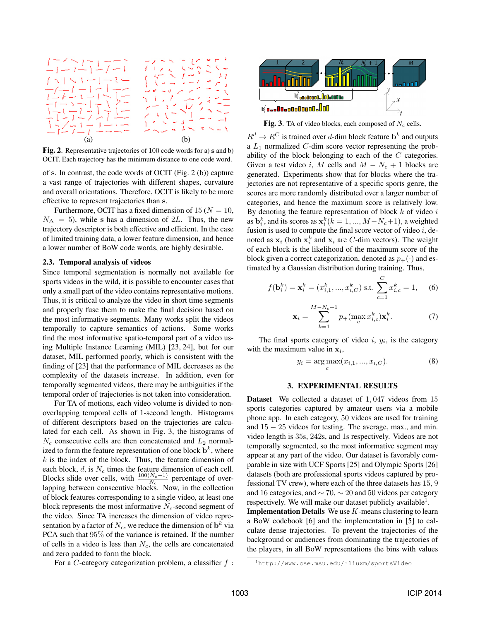

Fig. 2. Representative trajectories of 100 code words for a) **s** and b) OCIT. Each trajectory has the minimum distance to one code word.

of **s**. In contrast, the code words of OCIT (Fig. 2 (b)) capture a vast range of trajectories with different shapes, curvature and overall orientations. Therefore, OCIT is likely to be more effective to represent trajectories than **s**.

Furthermore, OCIT has a fixed dimension of 15 ( $N = 10$ ,  $N_{\Delta} = 5$ ), while s has a dimension of 2L. Thus, the new trajectory descriptor is both effective and efficient. In the case of limited training data, a lower feature dimension, and hence a lower number of BoW code words, are highly desirable.

## 2.3. Temporal analysis of videos

Since temporal segmentation is normally not available for sports videos in the wild, it is possible to encounter cases that only a small part of the video contains representative motions. Thus, it is critical to analyze the video in short time segments and properly fuse them to make the final decision based on the most informative segments. Many works split the videos temporally to capture semantics of actions. Some works find the most informative spatio-temporal part of a video using Multiple Instance Learning (MIL) [23, 24], but for our dataset, MIL performed poorly, which is consistent with the finding of [23] that the performance of MIL decreases as the complexity of the datasets increase. In addition, even for temporally segmented videos, there may be ambiguities if the temporal order of trajectories is not taken into consideration.

For TA of motions, each video volume is divided to nonoverlapping temporal cells of 1-second length. Histograms of different descriptors based on the trajectories are calculated for each cell. As shown in Fig. 3, the histograms of  $N_c$  consecutive cells are then concatenated and  $L_2$  normalized to form the feature representation of one block  $\mathbf{b}^k$ , where  $k$  is the index of the block. Thus, the feature dimension of each block,  $d$ , is  $N_c$  times the feature dimension of each cell. Blocks slide over cells, with  $\frac{100(N_c-1)}{N_c}$  percentage of overlapping between consecutive blocks. Now, in the collection of block features corresponding to a single video, at least one block represents the most informative  $N_c$ -second segment of the video. Since TA increases the dimension of video representation by a factor of  $N_c$ , we reduce the dimension of  $\mathbf{b}^k$  via PCA such that 95% of the variance is retained. If the number of cells in a video is less than  $N_c$ , the cells are concatenated and zero padded to form the block.

For a C-category categorization problem, a classifier  $f$ :



Fig. 3. TA of video blocks, each composed of  $N_c$  cells.

 $R^d \to R^C$  is trained over d-dim block feature  $\mathbf{b}^k$  and outputs a  $L_1$  normalized  $C$ -dim score vector representing the probability of the block belonging to each of the C categories. Given a test video i, M cells and  $M - N_c + 1$  blocks are generated. Experiments show that for blocks where the trajectories are not representative of a specific sports genre, the scores are more randomly distributed over a larger number of categories, and hence the maximum score is relatively low. By denoting the feature representation of block  $k$  of video  $i$ as  $\mathbf{b}_k^k$ , and its scores as  $\mathbf{x}_k^k$  ( $k = 1, ..., M - N_c + 1$ ), a weighted fusion is used to compute the final score vector of video *i*, defusion is used to compute the final score vector of video  $i$ , denoted as  $\mathbf{x}_i$  (both  $\mathbf{x}_i^k$  and  $\mathbf{x}_i$  are *C*-dim vectors). The weight of each block is the likelihood of the maximum score of the of each block is the likelihood of the maximum score of the block given a correct categorization, denoted as  $p_+(\cdot)$  and estimated by a Gaussian distribution during training. Thus,

$$
f(\mathbf{b}_i^k) = \mathbf{x}_i^k = (x_{i,1}^k, ..., x_{i,C}^k) \text{ s.t. } \sum_{c=1}^C x_{i,c}^k = 1,
$$
 (6)

$$
\mathbf{x}_{i} = \sum_{k=1}^{M-N_{c}+1} p_{+}(\max_{c} x_{i,c}^{k}) \mathbf{x}_{i}^{k}.
$$
 (7)

The final sports category of video  $i, y_i$ , is the category with the maximum value in  $x_i$ ,

$$
y_i = \arg\max_c(x_{i,1}, ..., x_{i,C}).
$$
 (8)

### 3. EXPERIMENTAL RESULTS

Dataset We collected a dataset of 1, 047 videos from 15 sports categories captured by amateur users via a mobile phone app. In each category, 50 videos are used for training and 15 <sup>−</sup> 25 videos for testing. The average, max., and min. video length is 35s, 242s, and 1s respectively. Videos are not temporally segmented, so the most informative segment may appear at any part of the video. Our dataset is favorably comparable in size with UCF Sports [25] and Olympic Sports [26] datasets (both are professional sports videos captured by professional TV crew), where each of the three datasets has 15, 9 and 16 categories, and  $\sim$  70,  $\sim$  20 and 50 videos per category respectively. We will make our dataset publicly available<sup>1</sup>.

**Implementation Details** We use  $K$ -means clustering to learn a BoW codebook [6] and the implementation in [5] to calculate dense trajectories. To prevent the trajectories of the background or audiences from dominating the trajectories of the players, in all BoW representations the bins with values

<sup>1</sup>http://www.cse.msu.edu/˜liuxm/sportsVideo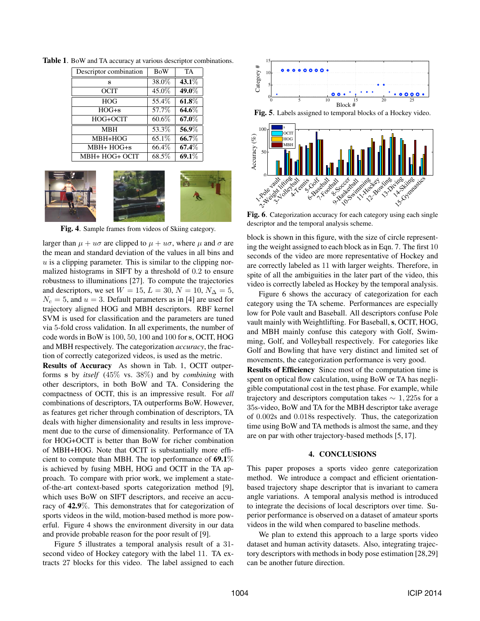| Descriptor combination | <b>BoW</b> | TA       |
|------------------------|------------|----------|
| s                      | 38.0%      | $43.1\%$ |
| <b>OCIT</b>            | 45.0%      | 49.0%    |
| <b>HOG</b>             | 55.4%      | 61.8%    |
| $HOG + s$              | 57.7%      | 64.6%    |
| HOG+OCIT               | $60.6\%$   | 67.0%    |
| <b>MBH</b>             | 53.3%      | 56.9%    |
| MBH+HOG                | 65.1\%     | 66.7%    |
| $MBH+HOG+s$            | 66.4\%     | 67.4%    |
| MBH+ HOG+ OCIT         | 68.5%      | 69.1%    |

Table 1. BoW and TA accuracy at various descriptor combinations.



Fig. 4. Sample frames from videos of Skiing category.

larger than  $\mu + u\sigma$  are clipped to  $\mu + u\sigma$ , where  $\mu$  and  $\sigma$  are the mean and standard deviation of the values in all bins and  $u$  is a clipping parameter. This is similar to the clipping normalized histograms in SIFT by a threshold of 0.2 to ensure robustness to illuminations [27]. To compute the trajectories and descriptors, we set  $W = 15$ ,  $L = 30$ ,  $N = 10$ ,  $N_{\Delta} = 5$ ,  $N_c = 5$ , and  $u = 3$ . Default parameters as in [4] are used for trajectory aligned HOG and MBH descriptors. RBF kernel SVM is used for classification and the parameters are tuned via 5-fold cross validation. In all experiments, the number of code words in BoW is 100, 50, 100 and 100 for **s**, OCIT, HOG and MBH respectively. The categorization *accuracy*, the fraction of correctly categorized videos, is used as the metric.

Results of Accuracy As shown in Tab. 1, OCIT outperforms **s** by *itself* (45% vs. 38%) and by *combining* with other descriptors, in both BoW and TA. Considering the compactness of OCIT, this is an impressive result. For *all* combinations of descriptors, TA outperforms BoW. However, as features get richer through combination of descriptors, TA deals with higher dimensionality and results in less improvement due to the curse of dimensionality. Performance of TA for HOG+OCIT is better than BoW for richer combination of MBH+HOG. Note that OCIT is substantially more efficient to compute than MBH. The top performance of 69.1% is achieved by fusing MBH, HOG and OCIT in the TA approach. To compare with prior work, we implement a stateof-the-art context-based sports categorization method [9], which uses BoW on SIFT descriptors, and receive an accuracy of 42.9%. This demonstrates that for categorization of sports videos in the wild, motion-based method is more powerful. Figure 4 shows the environment diversity in our data and provide probable reason for the poor result of [9].

Figure 5 illustrates a temporal analysis result of a 31 second video of Hockey category with the label 11. TA extracts 27 blocks for this video. The label assigned to each



Fig. 5. Labels assigned to temporal blocks of a Hockey video.



Fig. 6. Categorization accuracy for each category using each single descriptor and the temporal analysis scheme.

block is shown in this figure, with the size of circle representing the weight assigned to each block as in Eqn. 7. The first 10 seconds of the video are more representative of Hockey and are correctly labeled as 11 with larger weights. Therefore, in spite of all the ambiguities in the later part of the video, this video is correctly labeled as Hockey by the temporal analysis.

Figure 6 shows the accuracy of categorization for each category using the TA scheme. Performances are especially low for Pole vault and Baseball. All descriptors confuse Pole vault mainly with Weightlifting. For Baseball, s, OCIT, HOG, and MBH mainly confuse this category with Golf, Swimming, Golf, and Volleyball respectively. For categories like Golf and Bowling that have very distinct and limited set of movements, the categorization performance is very good.

Results of Efficiency Since most of the computation time is spent on optical flow calculation, using BoW or TA has negligible computational cost in the test phase. For example, while trajectory and descriptors computation takes  $\sim 1,225$  for a 35s-video, BoW and TA for the MBH descriptor take average of 0.002s and 0.018s respectively. Thus, the categorization time using BoW and TA methods is almost the same, and they are on par with other trajectory-based methods [5, 17].

## 4. CONCLUSIONS

This paper proposes a sports video genre categorization method. We introduce a compact and efficient orientationbased trajectory shape descriptor that is invariant to camera angle variations. A temporal analysis method is introduced to integrate the decisions of local descriptors over time. Superior performance is observed on a dataset of amateur sports videos in the wild when compared to baseline methods.

We plan to extend this approach to a large sports video dataset and human activity datasets. Also, integrating trajectory descriptors with methods in body pose estimation [28,29] can be another future direction.